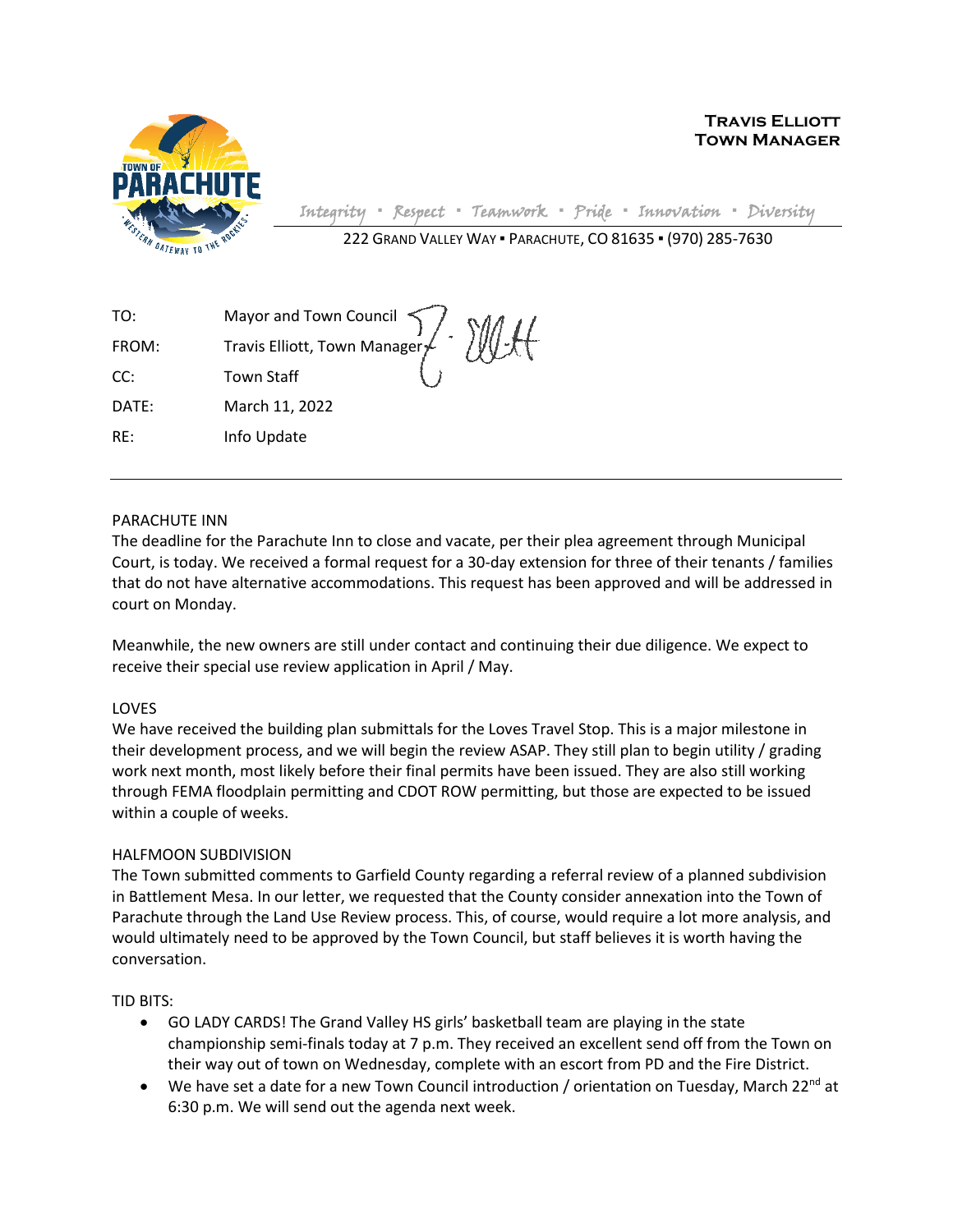

**Travis Elliott Town Manager**

Integrity **▪** Respect **▪** Teamwork **▪** Pride **▪** Innovation **▪** Diversity

222 GRAND VALLEY WAY ▪ PARACHUTE, CO 81635 ▪ (970) 285-7630

| TO:   |                                                               |
|-------|---------------------------------------------------------------|
| FROM: | Mayor and Town Council 7<br>Travis Elliott, Town Manager / MI |
| CC:   | <b>Town Staff</b>                                             |
| DATE: | $\sim$<br>March 11, 2022                                      |
| RE:   | Info Update                                                   |

## PARACHUTE INN

The deadline for the Parachute Inn to close and vacate, per their plea agreement through Municipal Court, is today. We received a formal request for a 30-day extension for three of their tenants / families that do not have alternative accommodations. This request has been approved and will be addressed in court on Monday.

Meanwhile, the new owners are still under contact and continuing their due diligence. We expect to receive their special use review application in April / May.

## LOVES

We have received the building plan submittals for the Loves Travel Stop. This is a major milestone in their development process, and we will begin the review ASAP. They still plan to begin utility / grading work next month, most likely before their final permits have been issued. They are also still working through FEMA floodplain permitting and CDOT ROW permitting, but those are expected to be issued within a couple of weeks.

## HALFMOON SUBDIVISION

The Town submitted comments to Garfield County regarding a referral review of a planned subdivision in Battlement Mesa. In our letter, we requested that the County consider annexation into the Town of Parachute through the Land Use Review process. This, of course, would require a lot more analysis, and would ultimately need to be approved by the Town Council, but staff believes it is worth having the conversation.

TID BITS:

- GO LADY CARDS! The Grand Valley HS girls' basketball team are playing in the state championship semi-finals today at 7 p.m. They received an excellent send off from the Town on their way out of town on Wednesday, complete with an escort from PD and the Fire District.
- We have set a date for a new Town Council introduction / orientation on Tuesday, March 22<sup>nd</sup> at 6:30 p.m. We will send out the agenda next week.